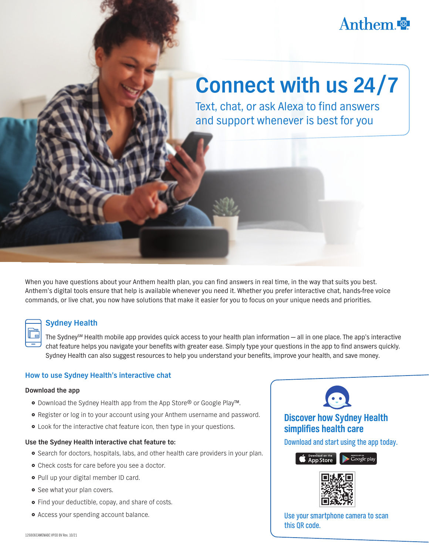## Anthem

# **Connect with us 24/7**

Text, chat, or ask Alexa to find answers and support whenever is best for you

When you have questions about your Anthem health plan, you can find answers in real time, in the way that suits you best. Anthem's digital tools ensure that help is available whenever you need it. Whether you prefer interactive chat, hands-free voice commands, or live chat, you now have solutions that make it easier for you to focus on your unique needs and priorities.

#### **Sydney Health**

The Sydney<sup>SM</sup> Health mobile app provides quick access to your health plan information — all in one place. The app's interactive chat feature helps you navigate your benefits with greater ease. Simply type your questions in the app to find answers quickly. Sydney Health can also suggest resources to help you understand your benefits, improve your health, and save money.

#### **How to use Sydney Health's interactive chat**

#### **Download the app**

- Download the Sydney Health app from the App Store® or Google Play™.
- Register or log in to your account using your Anthem username and password.
- Look for the interactive chat feature icon, then type in your questions.

#### **Use the Sydney Health interactive chat feature to:**

- **•** Search for doctors, hospitals, labs, and other health care providers in your plan.
- Check costs for care before you see a doctor.
- o Pull up your digital member ID card.
- **•** See what your plan covers.
- **•** Find your deductible, copay, and share of costs.
- Access your spending account balance.



### **Discover how Sydney Health simplifies health care**

Download and start using the app today.



Use your smartphone camera to scan this QR code.